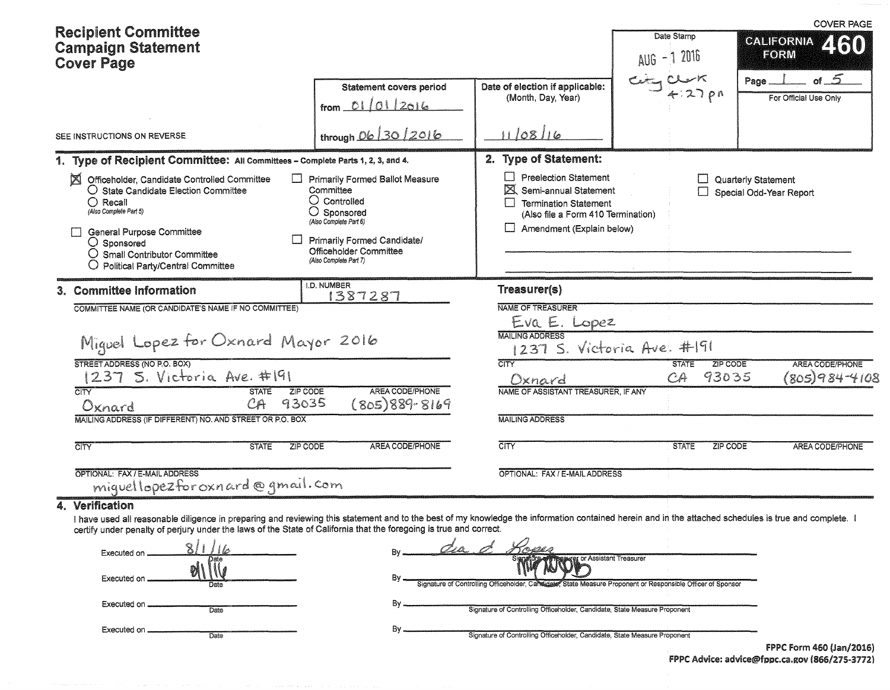|                    |                                                                                                                                                                                                                                                                                                                                                                                                                                 |                                                                                                                                                                                                                                                                                                                                                             | Date Stamp<br>AUG - 1 2016                                                                                                                                                                                      |                                                                                                                                                                                                                                                                                                                                                                                                              | <b>COVER PAGE</b><br><b>CALIFORNIA</b><br>2160<br>FORM                                                                                                                                                                                                                                                    |
|--------------------|---------------------------------------------------------------------------------------------------------------------------------------------------------------------------------------------------------------------------------------------------------------------------------------------------------------------------------------------------------------------------------------------------------------------------------|-------------------------------------------------------------------------------------------------------------------------------------------------------------------------------------------------------------------------------------------------------------------------------------------------------------------------------------------------------------|-----------------------------------------------------------------------------------------------------------------------------------------------------------------------------------------------------------------|--------------------------------------------------------------------------------------------------------------------------------------------------------------------------------------------------------------------------------------------------------------------------------------------------------------------------------------------------------------------------------------------------------------|-----------------------------------------------------------------------------------------------------------------------------------------------------------------------------------------------------------------------------------------------------------------------------------------------------------|
|                    | <b>Statement covers period</b><br>from $01/01/2016$                                                                                                                                                                                                                                                                                                                                                                             | Date of election if applicable:<br>(Month, Day, Year)                                                                                                                                                                                                                                                                                                       |                                                                                                                                                                                                                 |                                                                                                                                                                                                                                                                                                                                                                                                              | of $5$<br>Page.<br>For Official Use Only                                                                                                                                                                                                                                                                  |
|                    | through 06 30 2016                                                                                                                                                                                                                                                                                                                                                                                                              | 11/08/16                                                                                                                                                                                                                                                                                                                                                    |                                                                                                                                                                                                                 |                                                                                                                                                                                                                                                                                                                                                                                                              |                                                                                                                                                                                                                                                                                                           |
|                    |                                                                                                                                                                                                                                                                                                                                                                                                                                 | 2. Type of Statement:                                                                                                                                                                                                                                                                                                                                       |                                                                                                                                                                                                                 |                                                                                                                                                                                                                                                                                                                                                                                                              |                                                                                                                                                                                                                                                                                                           |
|                    | Committee<br>$\bigcirc$ Controlled<br>○ Sponsored<br>(Also Complete Part 6)<br>Primarily Formed Candidate/<br>Officeholder Committee<br>(Also Complete Part 7)                                                                                                                                                                                                                                                                  | <b>Preelection Statement</b>                                                                                                                                                                                                                                                                                                                                |                                                                                                                                                                                                                 |                                                                                                                                                                                                                                                                                                                                                                                                              | Quarterly Statement<br>Special Odd-Year Report                                                                                                                                                                                                                                                            |
|                    | I.D. NUMBER                                                                                                                                                                                                                                                                                                                                                                                                                     | Treasurer(s)                                                                                                                                                                                                                                                                                                                                                |                                                                                                                                                                                                                 |                                                                                                                                                                                                                                                                                                                                                                                                              |                                                                                                                                                                                                                                                                                                           |
| <b>STATE</b><br>CA | AREA CODE/PHONE<br>$(805)889 - 8169$                                                                                                                                                                                                                                                                                                                                                                                            | <b>MAILING ADDRESS</b><br><b>CITY</b><br>Oxnard                                                                                                                                                                                                                                                                                                             | <b>STATE</b><br>CA                                                                                                                                                                                              | ZIP CODE<br>93035                                                                                                                                                                                                                                                                                                                                                                                            | <b>AREA CODE/PHONE</b><br>(805)984-4108                                                                                                                                                                                                                                                                   |
| <b>STATE</b>       | <b>AREA CODE/PHONE</b>                                                                                                                                                                                                                                                                                                                                                                                                          | CITY                                                                                                                                                                                                                                                                                                                                                        | <b>STATE</b>                                                                                                                                                                                                    | <b>ZIP CODE</b>                                                                                                                                                                                                                                                                                                                                                                                              | AREA CODE/PHONE                                                                                                                                                                                                                                                                                           |
|                    |                                                                                                                                                                                                                                                                                                                                                                                                                                 |                                                                                                                                                                                                                                                                                                                                                             |                                                                                                                                                                                                                 |                                                                                                                                                                                                                                                                                                                                                                                                              |                                                                                                                                                                                                                                                                                                           |
| Date<br>Date       | Bγ.<br>By.                                                                                                                                                                                                                                                                                                                                                                                                                      | வேற்கை                                                                                                                                                                                                                                                                                                                                                      |                                                                                                                                                                                                                 |                                                                                                                                                                                                                                                                                                                                                                                                              |                                                                                                                                                                                                                                                                                                           |
|                    | <b>Recipient Committee</b><br><b>Campaign Statement</b><br>SEE INSTRUCTIONS ON REVERSE<br>Officeholder, Candidate Controlled Committee<br>$\bigcirc$ State Candidate Election Committee<br><b>General Purpose Committee</b><br>O Small Contributor Committee<br>O Political Party/Central Committee<br>3. Committee Information<br>STREET ADDRESS (NO P.O. BOX)<br>1237 S. Victoria Ave. #191<br>OPTIONAL: FAX / E-MAIL ADDRESS | 1. Type of Recipient Committee: All Committees - Complete Parts 1, 2, 3, and 4.<br>Primarily Formed Ballot Measure<br>1387287<br>COMMITTEE NAME (OR CANDIDATE'S NAME IF NO COMMITTEE)<br>Miguel Lopez for Oxnard Mayor 2016<br>ZIP CODE<br>93035<br>MAILING ADDRESS (IF DIFFERENT) NO. AND STREET OR P.O. BOX<br>ZIP CODE<br>miguellopezforoxnard@gmail.com | NAME OF TREASURER<br><b>MAILING ADDRESS</b><br>certify under penalty of perjury under the laws of the State of California that the foregoing is true and correct.<br>Signature of Controlling Officeholder, Can | Semi-annual Statement<br><b>Termination Statement</b><br>(Also file a Form 410 Termination)<br>$\Box$ Amendment (Explain below)<br>Eva E. Lopez<br>NAME OF ASSISTANT TREASURER, IF ANY<br>OPTIONAL: FAX / E-MAIL ADDRESS<br>or Assistant Treasurer<br>Signature of Controlling Officeholder, Candidate, State Measure Proponent<br>Signature of Controlling Officeholder, Candidate, State Measure Proponent | $C = C$<br>1237 S. Victoria Ave. #191<br>I have used all reasonable diligence in preparing and reviewing this statement and to the best of my knowledge the information contained herein and in the attached schedules is true and complete.<br>State Measure Proponent or Responsible Officer of Sponsor |

FPPC Advice: advice@fppc.ca.gov (866/275-3772)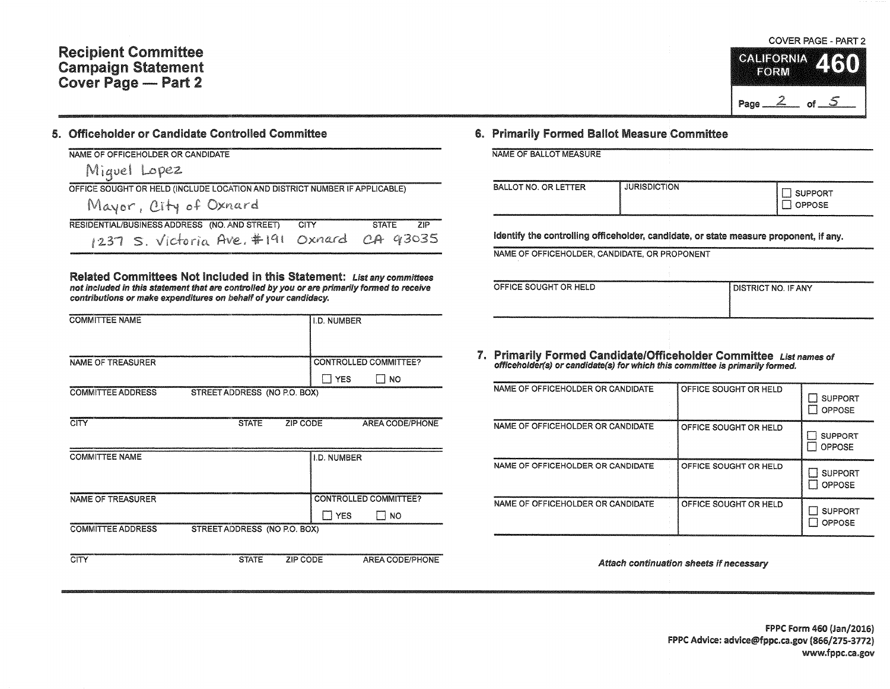Ē

#### 5. Officeholder or Candidate Controlled Committee

|  | NAME OF OFFICEHOLDER OR CANDIDATE |
|--|-----------------------------------|
|  |                                   |

Miquel Lopez OFFICE SOUGHT OR HELD (INCLUDE LOCATION AND DISTRICT NUMBER IF APPLICABLE)

Mayor, City of Oxnard

|  | RESIDENTIAL/BUSINESS ADDRESS (NO. AND STREET) CITY |  |                                            | STATE ZIP |
|--|----------------------------------------------------|--|--------------------------------------------|-----------|
|  |                                                    |  | 1237 S. Victoria Ave. #191 Oxnard CA 93035 |           |

Related Committees Not Included in this Statement: List any committees not Included in thls statement that are controlled by you or are primarily formed to receive contributions or make expenditures on behalf of your candidacy.

| <b>COMMITTEE NAME</b>    |                              |                 | <b>I.D. NUMBER</b> |                              |
|--------------------------|------------------------------|-----------------|--------------------|------------------------------|
|                          |                              |                 |                    |                              |
| <b>NAME OF TREASURER</b> |                              |                 |                    | <b>CONTROLLED COMMITTEE?</b> |
|                          |                              |                 | $\Box$ YES         | $\Box$ No                    |
| <b>COMMITTEE ADDRESS</b> | STREET ADDRESS (NO P.O. BOX) |                 |                    |                              |
|                          |                              |                 |                    |                              |
| <b>CITY</b>              | <b>STATE</b>                 | <b>ZIP CODE</b> |                    | AREA CODE/PHONE              |
|                          |                              |                 |                    |                              |
| <b>COMMITTEE NAME</b>    |                              |                 | I.D. NUMBER        |                              |
|                          |                              |                 |                    |                              |
| NAME OF TREASURER        |                              |                 |                    | <b>CONTROLLED COMMITTEE?</b> |
|                          |                              |                 | I YES              | $\Box$ NO                    |
| <b>COMMITTEE ADDRESS</b> | STREET ADDRESS (NO P.O. BOX) |                 |                    |                              |
|                          |                              |                 |                    |                              |
| <b>CITY</b>              | <b>STATE</b>                 | ZIP CODE        |                    | <b>AREA CODE/PHONE</b>       |

### COVER PAGE - PART 2 **CALIFORNIA FORM** Page  $2$  of  $5$

#### 6. Primarily Formed Ballot Measure Committee

NAME OF BALLOT MEASURE

| I OPPOSE | <b>BALLOT NO. OR LETTER</b> | <b>JURISDICTION</b> | <b>SUPPORT</b> |
|----------|-----------------------------|---------------------|----------------|
|----------|-----------------------------|---------------------|----------------|

Identify the controlling officeholder, candidate, or state measure proponent, if any.

NAME OF OFFICEHOLDER, CANDIDATE, OR PROPONENT

| OFFICE SOUGHT OR HELD | I DISTRICT NO. IF ANY |
|-----------------------|-----------------------|
|                       |                       |
|                       |                       |
|                       |                       |
|                       |                       |
|                       |                       |

# 7. Primarily Formed Candidate/Officeholder Committee List names of officeholder(s) or candidate(s) for which this committee is primarily formed.

| NAME OF OFFICEHOLDER OR CANDIDATE | OFFICE SOUGHT OR HELD | <b>SUPPORT</b><br>OPPOSE        |
|-----------------------------------|-----------------------|---------------------------------|
| NAME OF OFFICEHOLDER OR CANDIDATE | OFFICE SOUGHT OR HELD | <b>SUPPORT</b><br><b>OPPOSE</b> |
| NAME OF OFFICEHOLDER OR CANDIDATE | OFFICE SOUGHT OR HELD | <b>SUPPORT</b><br><b>OPPOSE</b> |
| NAME OF OFFICEHOLDER OR CANDIDATE | OFFICE SOUGHT OR HELD | <b>SUPPORT</b><br><b>OPPOSE</b> |

Attach continuation sheets if necessary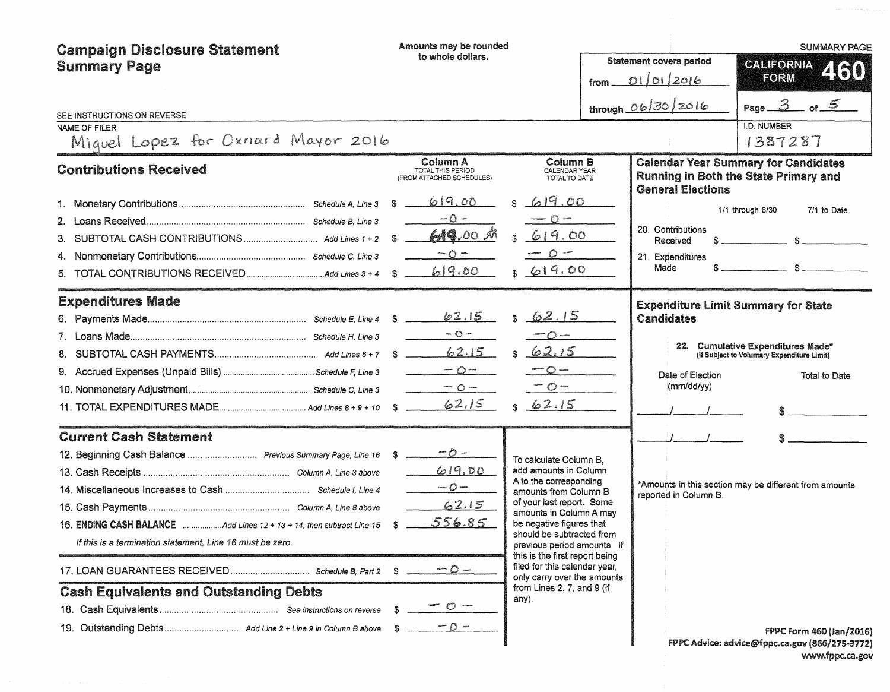| <b>Campaign Disclosure Statement</b><br><b>Summary Page</b><br>SEE INSTRUCTIONS ON REVERSE<br>NAME OF FILER<br>Miquel Lopez for Oxnard Mayor 2016                                                                    | Amounts may be rounded<br>to whole dollars.<br>from $-\ $                                                                 |                                                                                                                                                                                                                                                                                                                                                                                             | <b>Statement covers period</b><br>01/01/2016<br>through 06/30/2016                    | <b>SUMMARY PAGE</b><br>CALIFORNIA<br>460<br>FORM<br>Page $3$ of $5$<br>I.D. NUMBER<br>1387287                                                   |
|----------------------------------------------------------------------------------------------------------------------------------------------------------------------------------------------------------------------|---------------------------------------------------------------------------------------------------------------------------|---------------------------------------------------------------------------------------------------------------------------------------------------------------------------------------------------------------------------------------------------------------------------------------------------------------------------------------------------------------------------------------------|---------------------------------------------------------------------------------------|-------------------------------------------------------------------------------------------------------------------------------------------------|
| <b>Contributions Received</b>                                                                                                                                                                                        | Column A<br>TOTAL THIS PERIOD<br>(FROM ATTACHED SCHEDULES)<br>619.00<br>S.<br>$-0-$<br>619.00 A<br>S.<br>$-0$ –<br>619.00 | Column B<br>CALENDAR YEAR<br>TOTAL TO DATE<br>619.00<br>$-$ 0 $-$<br>619.00<br>$O -$<br>619.00                                                                                                                                                                                                                                                                                              | <b>General Elections</b><br>20. Contributions<br>Received<br>21. Expenditures<br>Made | <b>Calendar Year Summary for Candidates</b><br>Running in Both the State Primary and<br>1/1 through 6/30<br>7/1 to Date                         |
| <b>Expenditures Made</b>                                                                                                                                                                                             | 62.15<br>$\sim$ 0 $-$<br>62.15<br>$-0-$<br>$-0-$<br>62.15                                                                 | 62.15<br>$\sim$ $\sim$<br>62.15<br>$ \circ$ $-$<br>$\circ$<br>62.15<br>\$.                                                                                                                                                                                                                                                                                                                  | <b>Candidates</b><br>Date of Election<br>(mm/dd/yy)                                   | <b>Expenditure Limit Summary for State</b><br>22. Cumulative Expenditures Made*<br>(If Subject to Voluntary Expenditure Limit)<br>Total to Date |
| <b>Current Cash Statement</b><br>16. ENDING CASH BALANCE Add Lines 12 + 13 + 14, then subtract Line 15<br>If this is a termination statement, Line 16 must be zero.<br><b>Cash Equivalents and Outstanding Debts</b> | 619.00<br>$\frac{1}{2}$<br>62.15<br>556.85<br>- \$<br>$-0$ $-$<br>$\mathbb{C}$ $\mathbb{R}$                               | To calculate Column B.<br>add amounts in Column<br>A to the corresponding<br>amounts from Column B<br>of your last report. Some<br>amounts in Column A may<br>be negative figures that<br>should be subtracted from<br>previous period amounts. If<br>this is the first report being<br>filed for this calendar year,<br>only carry over the amounts<br>from Lines 2, 7, and 9 (if<br>any). | reported in Column B.                                                                 | *Amounts in this section may be different from amounts<br><b>FPPC Form 460 (Jan/2016)</b><br>FPPC Advice: advice@fppc.ca.gov (866/275-3772)     |

www.fppc.ca.gov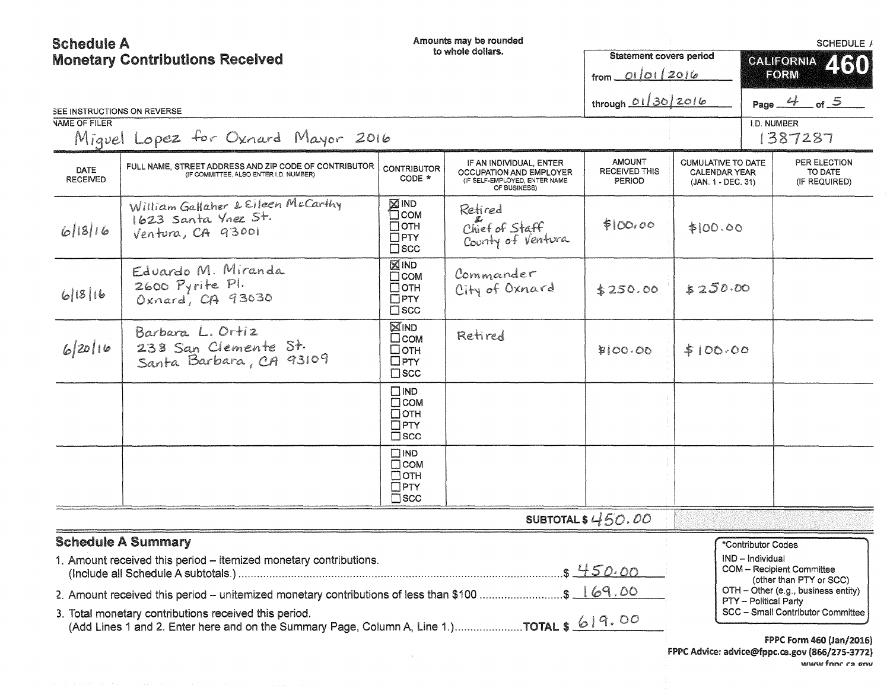| <b>Schedule A</b>       |                                                                                                                                                    |                                                                          | Amounts may be rounded                                                                              |                                                 |                                                                         |                       | SCHEDULE /                                                  |
|-------------------------|----------------------------------------------------------------------------------------------------------------------------------------------------|--------------------------------------------------------------------------|-----------------------------------------------------------------------------------------------------|-------------------------------------------------|-------------------------------------------------------------------------|-----------------------|-------------------------------------------------------------|
|                         | <b>Monetary Contributions Received</b>                                                                                                             |                                                                          | to whole dollars.                                                                                   | <b>Statement covers period</b>                  |                                                                         |                       | CALIFORNIA 460                                              |
|                         |                                                                                                                                                    |                                                                          |                                                                                                     | from 01/01/2016                                 |                                                                         |                       | FORM                                                        |
|                         | SEE INSTRUCTIONS ON REVERSE                                                                                                                        |                                                                          |                                                                                                     | through 01/30/2016                              |                                                                         |                       | Page $4$ of $5$                                             |
| <b>VAME OF FILER</b>    |                                                                                                                                                    |                                                                          |                                                                                                     |                                                 |                                                                         | I.D. NUMBER           |                                                             |
|                         | Miguel Lopez for Oxnard Mayor 2016                                                                                                                 |                                                                          |                                                                                                     |                                                 |                                                                         |                       | 1387287                                                     |
| DATE<br><b>RECEIVED</b> | FULL NAME, STREET ADDRESS AND ZIP CODE OF CONTRIBUTOR<br>(IF COMMITTEE, ALSO ENTER I,D. NUMBER)                                                    | <b>CONTRIBUTOR</b><br>CODE *                                             | IF AN INDIVIDUAL, ENTER<br>OCCUPATION AND EMPLOYER<br>(IF SELF-EMPLOYED, ENTER NAME<br>OF BUSINESS) | AMOUNT<br><b>RECEIVED THIS</b><br><b>PERIOD</b> | <b>CUMULATIVE TO DATE</b><br><b>CALENDAR YEAR</b><br>(JAN. 1 - DEC. 31) |                       | PER ELECTION<br>TO DATE<br>(IF REQUIRED)                    |
| 6 18 16                 | William Gallaher & Eileen McCarthy<br>1623 Santa Ynez St.<br>Ventura, CA 93001                                                                     | <b>XIND</b><br>$\Box$ COM<br>$\Box$ OTH<br>$\Box$ PTY<br>$\square$ scc   | Retired<br>Chief of Staff<br>County of Ventura                                                      | \$100.00                                        | \$100.00                                                                |                       |                                                             |
| 6 18 16                 | Eduardo M. Miranda<br>2600 Pyrite Pl.<br>Oxnard, CA 93030                                                                                          | <b>XIND</b><br>$\square$ COM<br>⊡отн<br>$\Box$ PTY<br>$\square$ scc      | Commander<br>City of Oxnard                                                                         | \$250.00                                        | 5250.00                                                                 |                       |                                                             |
| 6/20116                 | Barbara L. Ortiz<br>238 San Clemente St.<br>Santa Barbara, CA 93109                                                                                | ⊠IND<br>$\square$ COM<br>□отн<br>$\square$ PTY<br>$\square$ scc          | Retired                                                                                             | \$100.00                                        | \$100.00                                                                |                       |                                                             |
|                         |                                                                                                                                                    | $\square$ IND<br>$\Box$ COM<br>$\Box$ OTH<br>$\Box$ PTY<br>$\square$ scc |                                                                                                     |                                                 |                                                                         |                       |                                                             |
|                         |                                                                                                                                                    | $\square$ IND<br>$\Box$ COM<br>$\Box$ OTH<br>$\Box$ PTY<br>$\square$ SCC |                                                                                                     |                                                 |                                                                         |                       |                                                             |
|                         |                                                                                                                                                    |                                                                          |                                                                                                     | SUBTOTAL $$450.00$                              |                                                                         |                       |                                                             |
|                         | <b>Schedule A Summary</b>                                                                                                                          |                                                                          |                                                                                                     |                                                 |                                                                         | *Contributor Codes    |                                                             |
|                         | 1. Amount received this period - itemized monetary contributions.                                                                                  |                                                                          |                                                                                                     | .5450.00                                        |                                                                         | IND - Individual      | <b>COM - Recipient Committee</b><br>(other than PTY or SCC) |
|                         | 2. Amount received this period – unitemized monetary contributions of less than \$100 \$ 169.00                                                    |                                                                          |                                                                                                     |                                                 |                                                                         | PTY - Political Party | $OTH - Other (e.g., business entity)$                       |
|                         | 3. Total monetary contributions received this period.<br>(Add Lines 1 and 2. Enter here and on the Summary Page, Column A, Line 1.)TOTAL \$ 619.00 |                                                                          |                                                                                                     |                                                 |                                                                         |                       | SCC - Small Contributor Committee                           |
|                         |                                                                                                                                                    |                                                                          |                                                                                                     |                                                 |                                                                         |                       | $FDPC$ Form $A \Omega$ (lan/2016)                           |

 $\sim 10^{11}$  km s  $^{-1}$ 

**FPPC Form 460 (Jan/2016)** FPPC Advice: advice@fppc.ca.gov (866/275-3772) **WWW fnnc** ca sou